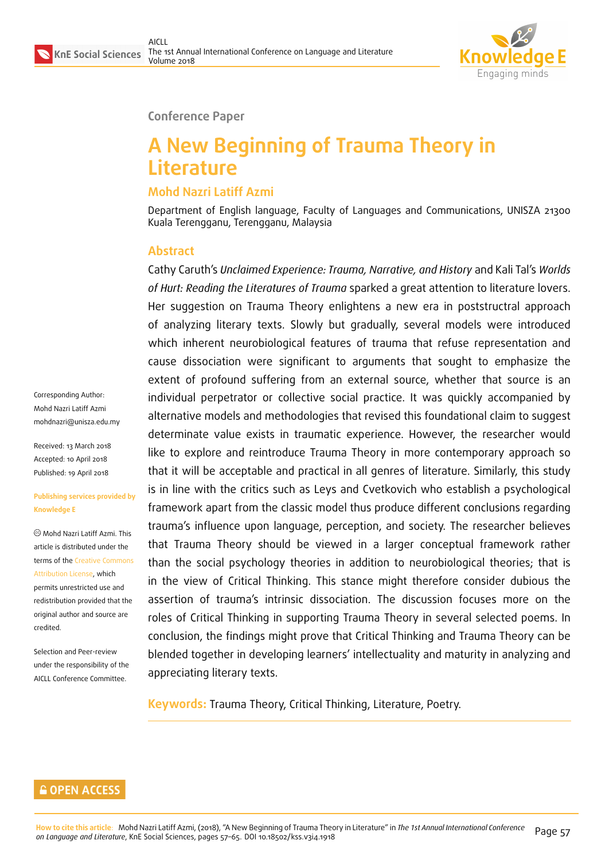

**Conference Paper**

# **A New Beginning of Trauma Theory in Literature**

### **Mohd Nazri Latiff Azmi**

Department of English language, Faculty of Languages and Communications, UNISZA 21300 Kuala Terengganu, Terengganu, Malaysia

### **Abstract**

Cathy Caruth's *Unclaimed Experience: Trauma, Narrative, and History* and Kali Tal's *Worlds of Hurt: Reading the Literatures of Trauma* sparked a great attention to literature lovers. Her suggestion on Trauma Theory enlightens a new era in poststructral approach of analyzing literary texts. Slowly but gradually, several models were introduced which inherent neurobiological features of trauma that refuse representation and cause dissociation were significant to arguments that sought to emphasize the extent of profound suffering from an external source, whether that source is an individual perpetrator or collective social practice. It was quickly accompanied by alternative models and methodologies that revised this foundational claim to suggest determinate value exists in traumatic experience. However, the researcher would like to explore and reintroduce Trauma Theory in more contemporary approach so that it will be acceptable and practical in all genres of literature. Similarly, this study is in line with the critics such as Leys and Cvetkovich who establish a psychological framework apart from the classic model thus produce different conclusions regarding trauma's influence upon language, perception, and society. The researcher believes that Trauma Theory should be viewed in a larger conceptual framework rather than the social psychology theories in addition to neurobiological theories; that is in the view of Critical Thinking. This stance might therefore consider dubious the assertion of trauma's intrinsic dissociation. The discussion focuses more on the roles of Critical Thinking in supporting Trauma Theory in several selected poems. In conclusion, the findings might prove that Critical Thinking and Trauma Theory can be blended together in developing learners' intellectuality and maturity in analyzing and appreciating literary texts.

**Keywords:** Trauma Theory, Critical Thinking, Literature, Poetry.

Corresponding Author: Mohd Nazri Latiff Azmi mohdnazri@unisza.edu.my

Received: 13 March 2018 Accepted: 10 April 2018 [Published: 19 April 2018](mailto:mohdnazri@unisza.edu.my)

#### **Publishing services provided by Knowledge E**

Mohd Nazri Latiff Azmi. This article is distributed under the terms of the Creative Commons Attribution License, which permits unrestricted use and redistribution provided that the original auth[or and source are](https://creativecommons.org/licenses/by/4.0/) [credited.](https://creativecommons.org/licenses/by/4.0/)

Selection and Peer-review under the responsibility of the AICLL Conference Committee.

#### **GOPEN ACCESS**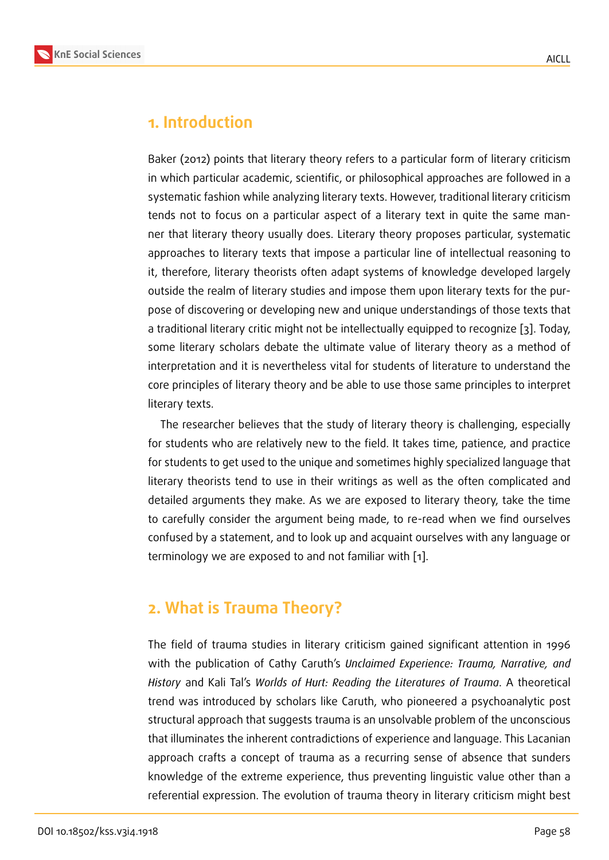### **1. Introduction**

Baker (2012) points that literary theory refers to a particular form of literary criticism in which particular academic, scientific, or philosophical approaches are followed in a systematic fashion while analyzing literary texts. However, traditional literary criticism tends not to focus on a particular aspect of a literary text in quite the same manner that literary theory usually does. Literary theory proposes particular, systematic approaches to literary texts that impose a particular line of intellectual reasoning to it, therefore, literary theorists often adapt systems of knowledge developed largely outside the realm of literary studies and impose them upon literary texts for the purpose of discovering or developing new and unique understandings of those texts that a traditional literary critic might not be intellectually equipped to recognize [3]. Today, some literary scholars debate the ultimate value of literary theory as a method of interpretation and it is nevertheless vital for students of literature to understand the core principles of literary theory and be able to use those same principles t[o i](#page-8-0)nterpret literary texts.

The researcher believes that the study of literary theory is challenging, especially for students who are relatively new to the field. It takes time, patience, and practice for students to get used to the unique and sometimes highly specialized language that literary theorists tend to use in their writings as well as the often complicated and detailed arguments they make. As we are exposed to literary theory, take the time to carefully consider the argument being made, to re-read when we find ourselves confused by a statement, and to look up and acquaint ourselves with any language or terminology we are exposed to and not familiar with [1].

## **2. What is Trauma Theory?**

The field of trauma studies in literary criticism gained significant attention in 1996 with the publication of Cathy Caruth's *Unclaimed Experience: Trauma, Narrative, and History* and Kali Tal's *Worlds of Hurt: Reading the Literatures of Trauma*. A theoretical trend was introduced by scholars like Caruth, who pioneered a psychoanalytic post structural approach that suggests trauma is an unsolvable problem of the unconscious that illuminates the inherent contradictions of experience and language. This Lacanian approach crafts a concept of trauma as a recurring sense of absence that sunders knowledge of the extreme experience, thus preventing linguistic value other than a referential expression. The evolution of trauma theory in literary criticism might best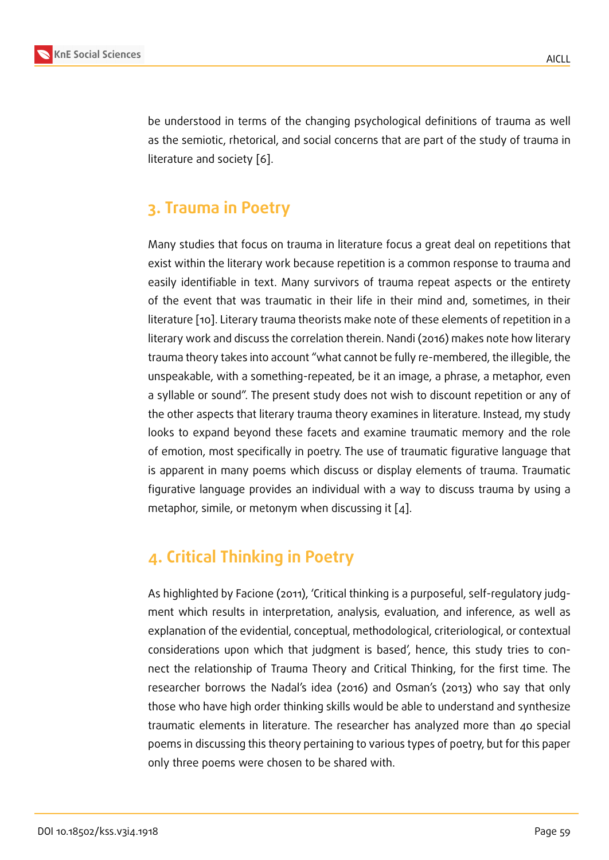be understood in terms of the changing psychological definitions of trauma as well as the semiotic, rhetorical, and social concerns that are part of the study of trauma in literature and society [6].

## **3. Trauma in P[oe](#page-8-1)try**

Many studies that focus on trauma in literature focus a great deal on repetitions that exist within the literary work because repetition is a common response to trauma and easily identifiable in text. Many survivors of trauma repeat aspects or the entirety of the event that was traumatic in their life in their mind and, sometimes, in their literature [10]. Literary trauma theorists make note of these elements of repetition in a literary work and discuss the correlation therein. Nandi (2016) makes note how literary trauma theory takes into account "what cannot be fully re-membered, the illegible, the unspeaka[ble](#page-8-2), with a something-repeated, be it an image, a phrase, a metaphor, even a syllable or sound". The present study does not wish to discount repetition or any of the other aspects that literary trauma theory examines in literature. Instead, my study looks to expand beyond these facets and examine traumatic memory and the role of emotion, most specifically in poetry. The use of traumatic figurative language that is apparent in many poems which discuss or display elements of trauma. Traumatic figurative language provides an individual with a way to discuss trauma by using a metaphor, simile, or metonym when discussing it [4].

## **4. Critical Thinking in Poetry**

As highlighted by Facione (2011), 'Critical thinking is a purposeful, self-regulatory judgment which results in interpretation, analysis, evaluation, and inference, as well as explanation of the evidential, conceptual, methodological, criteriological, or contextual considerations upon which that judgment is based', hence, this study tries to connect the relationship of Trauma Theory and Critical Thinking, for the first time. The researcher borrows the Nadal's idea (2016) and Osman's (2013) who say that only those who have high order thinking skills would be able to understand and synthesize traumatic elements in literature. The researcher has analyzed more than 40 special poems in discussing this theory pertaining to various types of poetry, but for this paper only three poems were chosen to be shared with.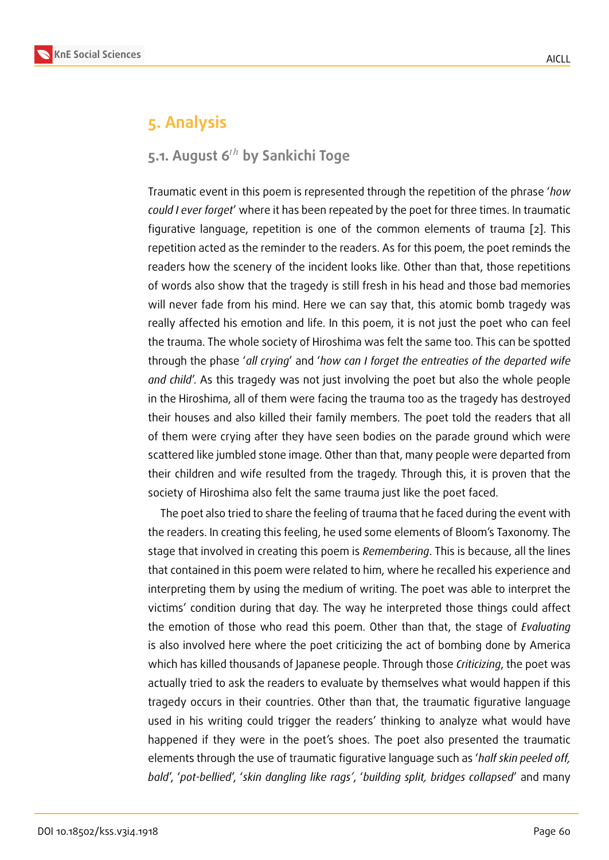## **5. Analysis**

### **5.1. August 6<sup>th</sup> by Sankichi Toge**

Traumatic event in this poem is represented through the repetition of the phrase '*how could I ever forget*' where it has been repeated by the poet for three times. In traumatic figurative language, repetition is one of the common elements of trauma [2]. This repetition acted as the reminder to the readers. As for this poem, the poet reminds the readers how the scenery of the incident looks like. Other than that, those repetitions of words also show that the tragedy is still fresh in his head and those bad m[em](#page-8-3)ories will never fade from his mind. Here we can say that, this atomic bomb tragedy was really affected his emotion and life. In this poem, it is not just the poet who can feel the trauma. The whole society of Hiroshima was felt the same too. This can be spotted through the phase '*all crying*' and '*how can I forget the entreaties of the departed wife and child*'. As this tragedy was not just involving the poet but also the whole people in the Hiroshima, all of them were facing the trauma too as the tragedy has destroyed their houses and also killed their family members. The poet told the readers that all of them were crying after they have seen bodies on the parade ground which were scattered like jumbled stone image. Other than that, many people were departed from their children and wife resulted from the tragedy. Through this, it is proven that the society of Hiroshima also felt the same trauma just like the poet faced.

The poet also tried to share the feeling of trauma that he faced during the event with the readers. In creating this feeling, he used some elements of Bloom's Taxonomy. The stage that involved in creating this poem is *Remembering*. This is because, all the lines that contained in this poem were related to him, where he recalled his experience and interpreting them by using the medium of writing. The poet was able to interpret the victims' condition during that day. The way he interpreted those things could affect the emotion of those who read this poem. Other than that, the stage of *Evaluating* is also involved here where the poet criticizing the act of bombing done by America which has killed thousands of Japanese people. Through those *Criticizing*, the poet was actually tried to ask the readers to evaluate by themselves what would happen if this tragedy occurs in their countries. Other than that, the traumatic figurative language used in his writing could trigger the readers' thinking to analyze what would have happened if they were in the poet's shoes. The poet also presented the traumatic elements through the use of traumatic figurative language such as '*half skin peeled off, bald*', '*pot-bellied*', '*skin dangling like rags'*, '*building split, bridges collapsed*' and many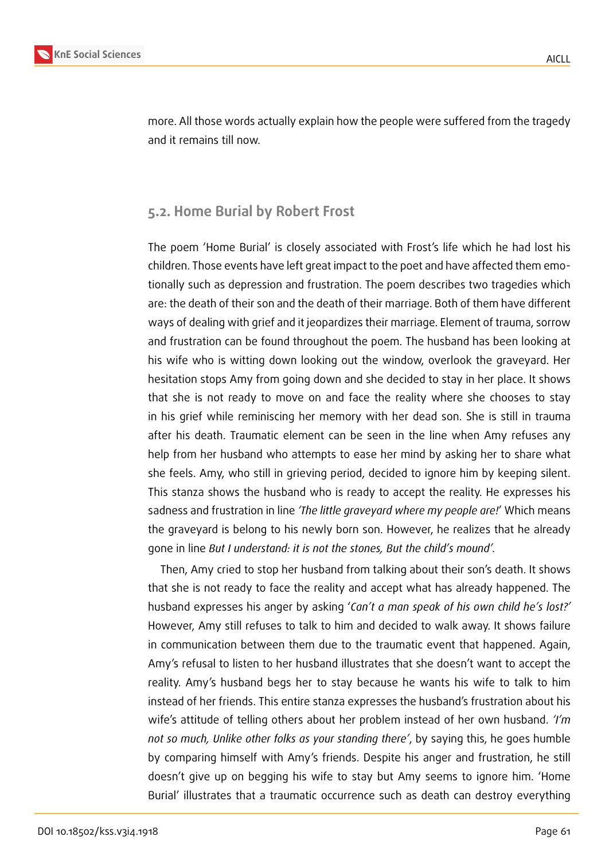

more. All those words actually explain how the people were suffered from the tragedy and it remains till now.

### **5.2. Home Burial by Robert Frost**

The poem 'Home Burial' is closely associated with Frost's life which he had lost his children. Those events have left great impact to the poet and have affected them emotionally such as depression and frustration. The poem describes two tragedies which are: the death of their son and the death of their marriage. Both of them have different ways of dealing with grief and it jeopardizes their marriage. Element of trauma, sorrow and frustration can be found throughout the poem. The husband has been looking at his wife who is witting down looking out the window, overlook the graveyard. Her hesitation stops Amy from going down and she decided to stay in her place. It shows that she is not ready to move on and face the reality where she chooses to stay in his grief while reminiscing her memory with her dead son. She is still in trauma after his death. Traumatic element can be seen in the line when Amy refuses any help from her husband who attempts to ease her mind by asking her to share what she feels. Amy, who still in grieving period, decided to ignore him by keeping silent. This stanza shows the husband who is ready to accept the reality. He expresses his sadness and frustration in line *'The little graveyard where my people are!*' Which means the graveyard is belong to his newly born son. However, he realizes that he already gone in line *But I understand: it is not the stones, But the child's mound'.*

Then, Amy cried to stop her husband from talking about their son's death. It shows that she is not ready to face the reality and accept what has already happened. The husband expresses his anger by asking '*Can't a man speak of his own child he's lost?'* However, Amy still refuses to talk to him and decided to walk away. It shows failure in communication between them due to the traumatic event that happened. Again, Amy's refusal to listen to her husband illustrates that she doesn't want to accept the reality. Amy's husband begs her to stay because he wants his wife to talk to him instead of her friends. This entire stanza expresses the husband's frustration about his wife's attitude of telling others about her problem instead of her own husband. *'I'm not so much, Unlike other folks as your standing there'*, by saying this, he goes humble by comparing himself with Amy's friends. Despite his anger and frustration, he still doesn't give up on begging his wife to stay but Amy seems to ignore him. 'Home Burial' illustrates that a traumatic occurrence such as death can destroy everything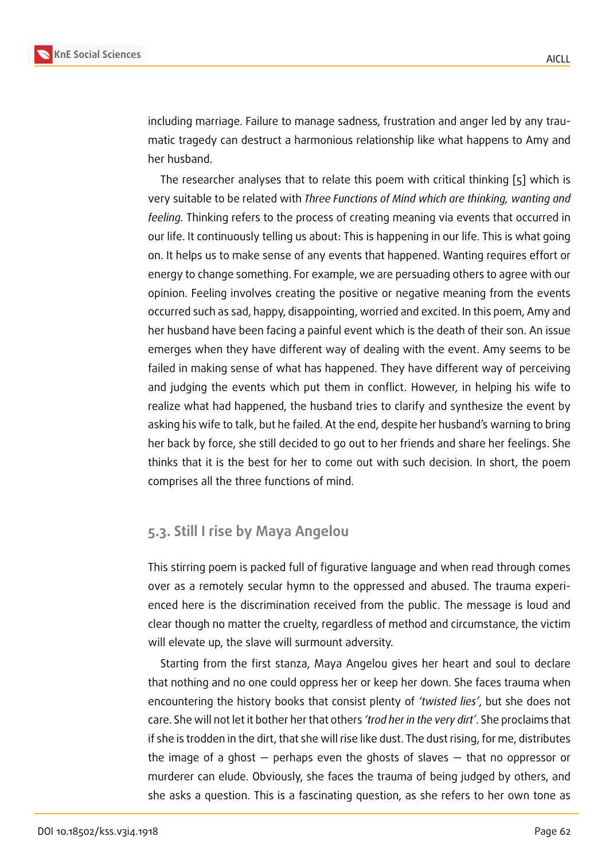including marriage. Failure to manage sadness, frustration and anger led by any traumatic tragedy can destruct a harmonious relationship like what happens to Amy and her husband.

The researcher analyses that to relate this poem with critical thinking [5] which is very suitable to be related with *Three Functions of Mind which are thinking, wanting and feeling.* Thinking refers to the process of creating meaning via events that occurred in our life. It continuously telling us about: This is happening in our life. This is [w](#page-8-4)hat going on. It helps us to make sense of any events that happened. Wanting requires effort or energy to change something. For example, we are persuading others to agree with our opinion. Feeling involves creating the positive or negative meaning from the events occurred such as sad, happy, disappointing, worried and excited. In this poem, Amy and her husband have been facing a painful event which is the death of their son. An issue emerges when they have different way of dealing with the event. Amy seems to be failed in making sense of what has happened. They have different way of perceiving and judging the events which put them in conflict. However, in helping his wife to realize what had happened, the husband tries to clarify and synthesize the event by asking his wife to talk, but he failed. At the end, despite her husband's warning to bring her back by force, she still decided to go out to her friends and share her feelings. She thinks that it is the best for her to come out with such decision. In short, the poem comprises all the three functions of mind.

#### **5.3. Still I rise by Maya Angelou**

This stirring poem is packed full of figurative language and when read through comes over as a remotely secular hymn to the oppressed and abused. The trauma experienced here is the discrimination received from the public. The message is loud and clear though no matter the cruelty, regardless of method and circumstance, the victim will elevate up, the slave will surmount adversity.

Starting from the first stanza, Maya Angelou gives her heart and soul to declare that nothing and no one could oppress her or keep her down. She faces trauma when encountering the history books that consist plenty of *'twisted lies'*, but she does not care. She will not let it bother her that others *'trod her in the very dirt'*. She proclaims that if she is trodden in the dirt, that she will rise like dust. The dust rising, for me, distributes the image of a ghost — perhaps even the ghosts of slaves — that no oppressor or murderer can elude. Obviously, she faces the trauma of being judged by others, and she asks a question. This is a fascinating question, as she refers to her own tone as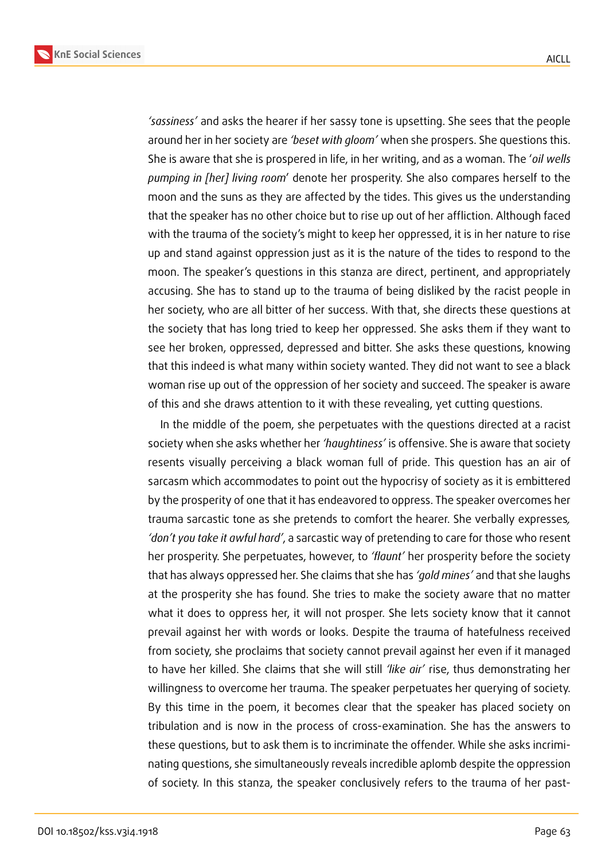**KnE Social Sciences**



*'sassiness'* and asks the hearer if her sassy tone is upsetting. She sees that the people around her in her society are *'beset with gloom'* when she prospers. She questions this. She is aware that she is prospered in life, in her writing, and as a woman. The '*oil wells pumping in [her] living room*' denote her prosperity. She also compares herself to the moon and the suns as they are affected by the tides. This gives us the understanding that the speaker has no other choice but to rise up out of her affliction. Although faced with the trauma of the society's might to keep her oppressed, it is in her nature to rise up and stand against oppression just as it is the nature of the tides to respond to the moon. The speaker's questions in this stanza are direct, pertinent, and appropriately accusing. She has to stand up to the trauma of being disliked by the racist people in her society, who are all bitter of her success. With that, she directs these questions at the society that has long tried to keep her oppressed. She asks them if they want to see her broken, oppressed, depressed and bitter. She asks these questions, knowing that this indeed is what many within society wanted. They did not want to see a black woman rise up out of the oppression of her society and succeed. The speaker is aware of this and she draws attention to it with these revealing, yet cutting questions.

In the middle of the poem, she perpetuates with the questions directed at a racist society when she asks whether her *'haughtiness'* is offensive. She is aware that society resents visually perceiving a black woman full of pride. This question has an air of sarcasm which accommodates to point out the hypocrisy of society as it is embittered by the prosperity of one that it has endeavored to oppress. The speaker overcomes her trauma sarcastic tone as she pretends to comfort the hearer. She verbally expresses*, 'don't you take it awful hard'*, a sarcastic way of pretending to care for those who resent her prosperity. She perpetuates, however, to *'flaunt'* her prosperity before the society that has always oppressed her. She claims that she has *'gold mines'* and that she laughs at the prosperity she has found. She tries to make the society aware that no matter what it does to oppress her, it will not prosper. She lets society know that it cannot prevail against her with words or looks. Despite the trauma of hatefulness received from society, she proclaims that society cannot prevail against her even if it managed to have her killed. She claims that she will still *'like air'* rise, thus demonstrating her willingness to overcome her trauma. The speaker perpetuates her querying of society. By this time in the poem, it becomes clear that the speaker has placed society on tribulation and is now in the process of cross-examination. She has the answers to these questions, but to ask them is to incriminate the offender. While she asks incriminating questions, she simultaneously reveals incredible aplomb despite the oppression of society. In this stanza, the speaker conclusively refers to the trauma of her past-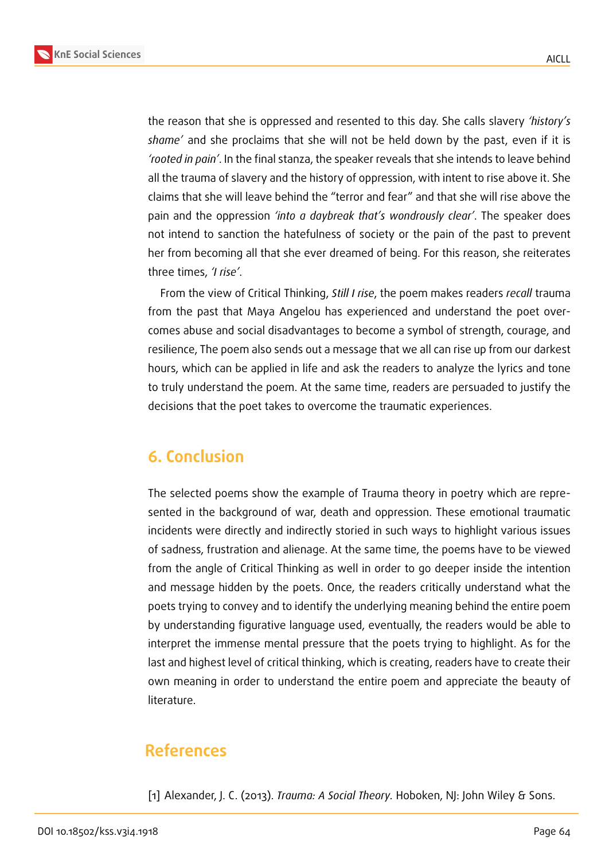

the reason that she is oppressed and resented to this day. She calls slavery *'history's shame'* and she proclaims that she will not be held down by the past, even if it is *'rooted in pain'*. In the final stanza, the speaker reveals that she intends to leave behind all the trauma of slavery and the history of oppression, with intent to rise above it. She claims that she will leave behind the "terror and fear" and that she will rise above the pain and the oppression *'into a daybreak that's wondrously clear'*. The speaker does not intend to sanction the hatefulness of society or the pain of the past to prevent her from becoming all that she ever dreamed of being. For this reason, she reiterates three times, *'I rise'*.

From the view of Critical Thinking, *Still I rise*, the poem makes readers *recall* trauma from the past that Maya Angelou has experienced and understand the poet overcomes abuse and social disadvantages to become a symbol of strength, courage, and resilience, The poem also sends out a message that we all can rise up from our darkest hours, which can be applied in life and ask the readers to analyze the lyrics and tone to truly understand the poem. At the same time, readers are persuaded to justify the decisions that the poet takes to overcome the traumatic experiences.

### **6. Conclusion**

The selected poems show the example of Trauma theory in poetry which are represented in the background of war, death and oppression. These emotional traumatic incidents were directly and indirectly storied in such ways to highlight various issues of sadness, frustration and alienage. At the same time, the poems have to be viewed from the angle of Critical Thinking as well in order to go deeper inside the intention and message hidden by the poets. Once, the readers critically understand what the poets trying to convey and to identify the underlying meaning behind the entire poem by understanding figurative language used, eventually, the readers would be able to interpret the immense mental pressure that the poets trying to highlight. As for the last and highest level of critical thinking, which is creating, readers have to create their own meaning in order to understand the entire poem and appreciate the beauty of literature.

## **References**

[1] Alexander, J. C. (2013). *Trauma: A Social Theory.* Hoboken, NJ: John Wiley & Sons.